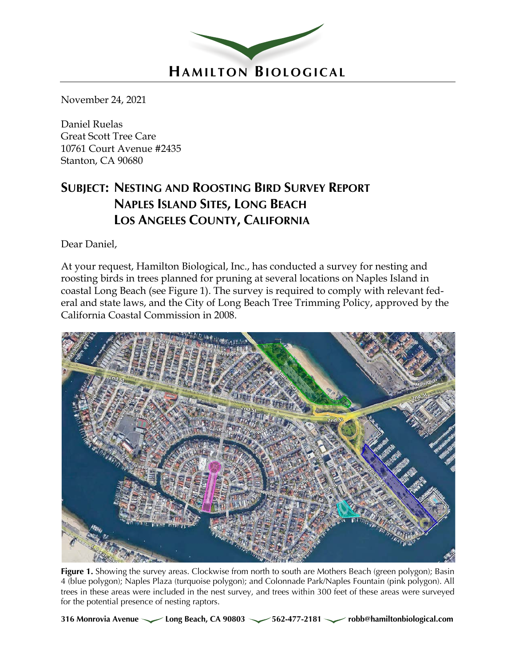

November 24, 2021

Daniel Ruelas Great Scott Tree Care 10761 Court Avenue #2435 Stanton, CA 90680

# **SUBJECT: NESTING AND ROOSTING BIRD SURVEY REPORT NAPLES ISLAND SITES, LONG BEACH LOS ANGELES COUNTY, CALIFORNIA**

Dear Daniel,

At your request, Hamilton Biological, Inc., has conducted a survey for nesting and roosting birds in trees planned for pruning at several locations on Naples Island in coastal Long Beach (see Figure 1). The survey is required to comply with relevant federal and state laws, and the City of Long Beach Tree Trimming Policy, approved by the California Coastal Commission in 2008.



**Figure 1.** Showing the survey areas. Clockwise from north to south are Mothers Beach (green polygon); Basin 4 (blue polygon); Naples Plaza (turquoise polygon); and Colonnade Park/Naples Fountain (pink polygon). All trees in these areas were included in the nest survey, and trees within 300 feet of these areas were surveyed for the potential presence of nesting raptors.

316 Monrovia Avenue **Long Beach, CA 90803** 562-477-2181 *robb@hamiltonbiological.com*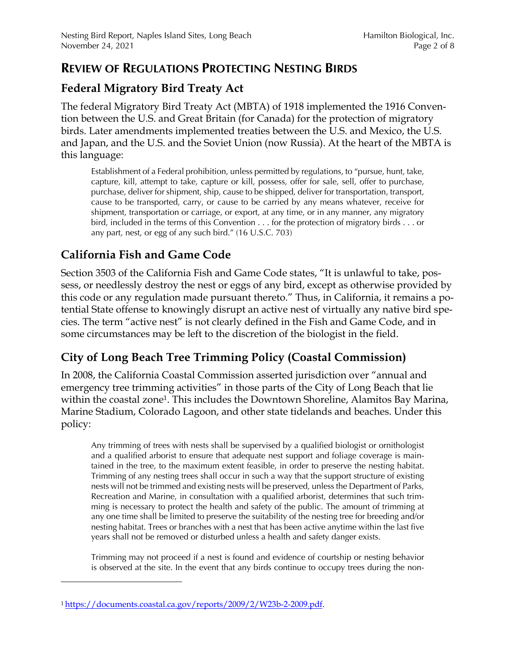#### **REVIEW OF REGULATIONS PROTECTING NESTING BIRDS**

#### **Federal Migratory Bird Treaty Act**

The federal Migratory Bird Treaty Act (MBTA) of 1918 implemented the 1916 Convention between the U.S. and Great Britain (for Canada) for the protection of migratory birds. Later amendments implemented treaties between the U.S. and Mexico, the U.S. and Japan, and the U.S. and the Soviet Union (now Russia). At the heart of the MBTA is this language:

Establishment of a Federal prohibition, unless permitted by regulations, to "pursue, hunt, take, capture, kill, attempt to take, capture or kill, possess, offer for sale, sell, offer to purchase, purchase, deliver for shipment, ship, cause to be shipped, deliver for transportation, transport, cause to be transported, carry, or cause to be carried by any means whatever, receive for shipment, transportation or carriage, or export, at any time, or in any manner, any migratory bird, included in the terms of this Convention . . . for the protection of migratory birds . . . or any part, nest, or egg of any such bird." (16 U.S.C. 703)

# **California Fish and Game Code**

Section 3503 of the California Fish and Game Code states, "It is unlawful to take, possess, or needlessly destroy the nest or eggs of any bird, except as otherwise provided by this code or any regulation made pursuant thereto." Thus, in California, it remains a potential State offense to knowingly disrupt an active nest of virtually any native bird species. The term "active nest" is not clearly defined in the Fish and Game Code, and in some circumstances may be left to the discretion of the biologist in the field.

## **City of Long Beach Tree Trimming Policy (Coastal Commission)**

In 2008, the California Coastal Commission asserted jurisdiction over "annual and emergency tree trimming activities" in those parts of the City of Long Beach that lie within the coastal zone<sup>1</sup>. This includes the Downtown Shoreline, Alamitos Bay Marina, Marine Stadium, Colorado Lagoon, and other state tidelands and beaches. Under this policy:

Any trimming of trees with nests shall be supervised by a qualified biologist or ornithologist and a qualified arborist to ensure that adequate nest support and foliage coverage is maintained in the tree, to the maximum extent feasible, in order to preserve the nesting habitat. Trimming of any nesting trees shall occur in such a way that the support structure of existing nests will not be trimmed and existing nests will be preserved, unless the Department of Parks, Recreation and Marine, in consultation with a qualified arborist, determines that such trimming is necessary to protect the health and safety of the public. The amount of trimming at any one time shall be limited to preserve the suitability of the nesting tree for breeding and/or nesting habitat. Trees or branches with a nest that has been active anytime within the last five years shall not be removed or disturbed unless a health and safety danger exists.

Trimming may not proceed if a nest is found and evidence of courtship or nesting behavior is observed at the site. In the event that any birds continue to occupy trees during the non-

<sup>1</sup> https://documents.coastal.ca.gov/reports/2009/2/W23b-2-2009.pdf.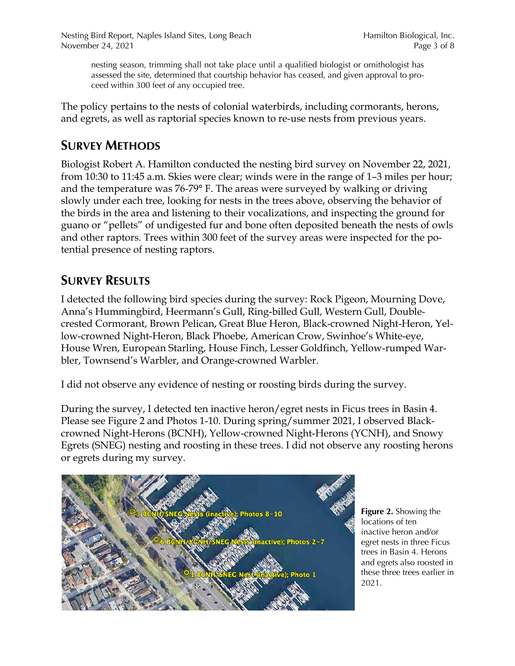Nesting Bird Report, Naples Island Sites, Long Beach Hamilton Biological, Inc. November 24, 2021 Page 3 of 8

nesting season, trimming shall not take place until a qualified biologist or ornithologist has assessed the site, determined that courtship behavior has ceased, and given approval to proceed within 300 feet of any occupied tree.

The policy pertains to the nests of colonial waterbirds, including cormorants, herons, and egrets, as well as raptorial species known to re-use nests from previous years.

## **SURVEY METHODS**

Biologist Robert A. Hamilton conducted the nesting bird survey on November 22, 2021, from 10:30 to 11:45 a.m. Skies were clear; winds were in the range of 1–3 miles per hour; and the temperature was 76-79° F. The areas were surveyed by walking or driving slowly under each tree, looking for nests in the trees above, observing the behavior of the birds in the area and listening to their vocalizations, and inspecting the ground for guano or "pellets" of undigested fur and bone often deposited beneath the nests of owls and other raptors. Trees within 300 feet of the survey areas were inspected for the potential presence of nesting raptors.

# **SURVEY RESULTS**

I detected the following bird species during the survey: Rock Pigeon, Mourning Dove, Anna's Hummingbird, Heermann's Gull, Ring-billed Gull, Western Gull, Doublecrested Cormorant, Brown Pelican, Great Blue Heron, Black-crowned Night-Heron, Yellow-crowned Night-Heron, Black Phoebe, American Crow, Swinhoe's White-eye, House Wren, European Starling, House Finch, Lesser Goldfinch, Yellow-rumped Warbler, Townsend's Warbler, and Orange-crowned Warbler.

I did not observe any evidence of nesting or roosting birds during the survey.

During the survey, I detected ten inactive heron/egret nests in Ficus trees in Basin 4. Please see Figure 2 and Photos 1-10. During spring/summer 2021, I observed Blackcrowned Night-Herons (BCNH), Yellow-crowned Night-Herons (YCNH), and Snowy Egrets (SNEG) nesting and roosting in these trees. I did not observe any roosting herons or egrets during my survey.



**Figure 2.** Showing the locations of ten inactive heron and/or egret nests in three Ficus trees in Basin 4. Herons and egrets also roosted in these three trees earlier in 2021.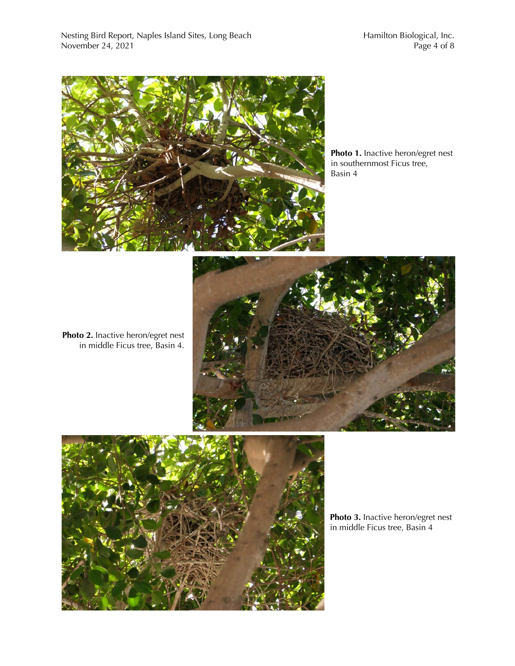

**Photo 1.** Inactive heron/egret nest in southernmost Ficus tree, Basin 4

**Photo 2.** Inactive heron/egret nest in middle Ficus tree, Basin 4.





**Photo 3.** Inactive heron/egret nest in middle Ficus tree, Basin 4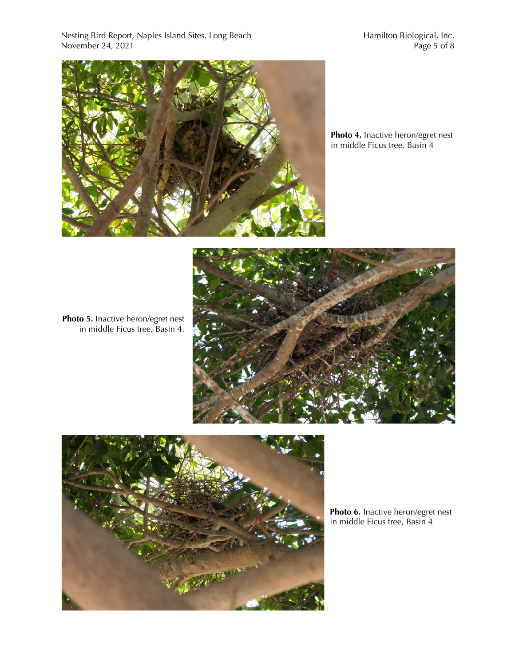Nesting Bird Report, Naples Island Sites, Long Beach Hamilton Biological, Inc. November 24, 2021 **Page 5 of 8** 



**Photo 4.** Inactive heron/egret nest in middle Ficus tree, Basin 4

**Photo 5.** Inactive heron/egret nest in middle Ficus tree, Basin 4.





**Photo 6.** Inactive heron/egret nest in middle Ficus tree, Basin 4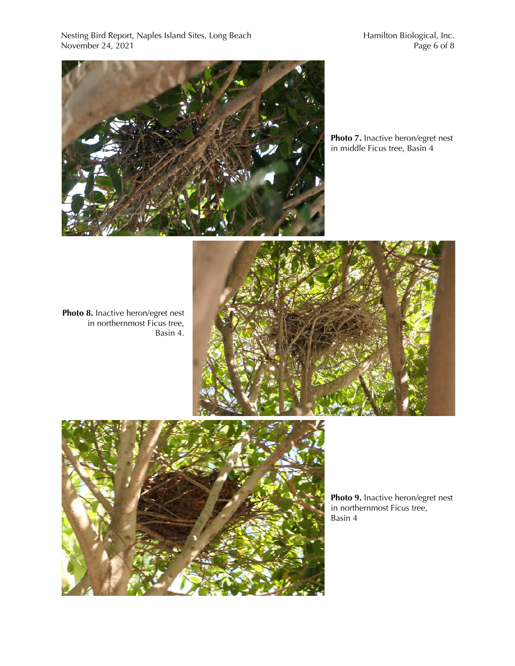Nesting Bird Report, Naples Island Sites, Long Beach Hamilton Biological, Inc.<br>November 24, 2021 Page 6 of 8 November 24,  $2021$ 



**Photo 7.** Inactive heron/egret nest in middle Ficus tree, Basin 4

**Photo 8.** Inactive heron/egret nest in northernmost Ficus tree, Basin 4.





**Photo 9.** Inactive heron/egret nest in northernmost Ficus tree, Basin 4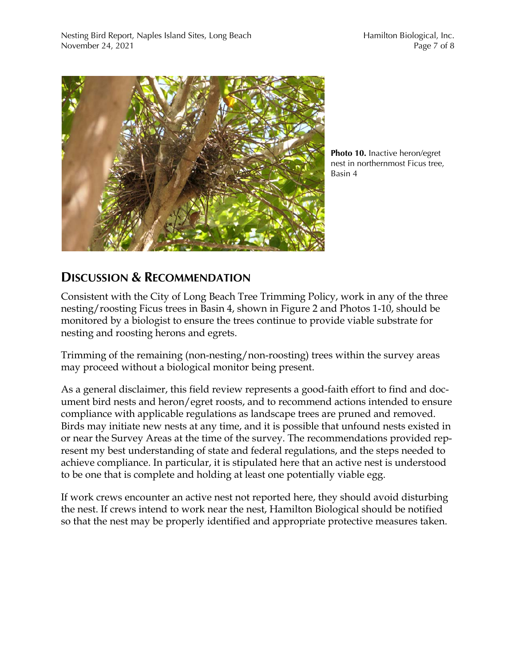

**Photo 10.** Inactive heron/egret nest in northernmost Ficus tree, Basin 4

## **DISCUSSION & RECOMMENDATION**

Consistent with the City of Long Beach Tree Trimming Policy, work in any of the three nesting/roosting Ficus trees in Basin 4, shown in Figure 2 and Photos 1-10, should be monitored by a biologist to ensure the trees continue to provide viable substrate for nesting and roosting herons and egrets.

Trimming of the remaining (non-nesting/non-roosting) trees within the survey areas may proceed without a biological monitor being present.

As a general disclaimer, this field review represents a good-faith effort to find and document bird nests and heron/egret roosts, and to recommend actions intended to ensure compliance with applicable regulations as landscape trees are pruned and removed. Birds may initiate new nests at any time, and it is possible that unfound nests existed in or near the Survey Areas at the time of the survey. The recommendations provided represent my best understanding of state and federal regulations, and the steps needed to achieve compliance. In particular, it is stipulated here that an active nest is understood to be one that is complete and holding at least one potentially viable egg.

If work crews encounter an active nest not reported here, they should avoid disturbing the nest. If crews intend to work near the nest, Hamilton Biological should be notified so that the nest may be properly identified and appropriate protective measures taken.